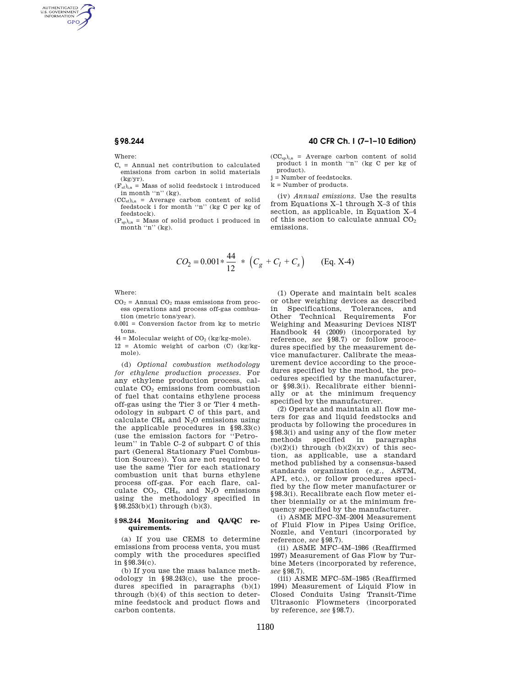Where:

AUTHENTICATED<br>U.S. GOVERNMENT<br>INFORMATION GPO

- $C_s$  = Annual net contribution to calculated emissions from carbon in solid materials (kg/yr).
- $(F<sub>sf</sub>)<sub>in</sub>$  = Mass of solid feedstock i introduced in month "n"  $(kg)$ .
- $(CC<sub>sf</sub>)<sub>i,n</sub>$  = Average carbon content of solid feedstock i for month "n" (kg C per kg of feedstock).
- $(P_{sp})_{i,n}$  = Mass of solid product i produced in month "n" (kg).

# **§ 98.244 40 CFR Ch. I (7–1–10 Edition)**

- $(CC_{sp})_{i,n}$  = Average carbon content of solid product i in month "n" (kg C per kg of product).
- j = Number of feedstocks.

k = Number of products.

(iv) *Annual emissions.* Use the results from Equations X–1 through X–3 of this section, as applicable, in Equation X–4 of this section to calculate annual  $CO<sub>2</sub>$ emissions.

$$
CO_2 = 0.001 * \frac{44}{12} * (C_g + C_l + C_s)
$$
 (Eq. X-4)

Where:

- $CO<sub>2</sub>$  = Annual  $CO<sub>2</sub>$  mass emissions from process operations and process off-gas combustion (metric tons/year).
- 0.001 = Conversion factor from kg to metric tons.
- $44 =$  Molecular weight of  $CO<sub>2</sub>$  (kg/kg-mole).

 $12$  = Atomic weight of carbon (C) (kg/kgmole).

(d) *Optional combustion methodology for ethylene production processes.* For any ethylene production process, calculate  $CO<sub>2</sub>$  emissions from combustion of fuel that contains ethylene process off-gas using the Tier 3 or Tier 4 methodology in subpart C of this part, and calculate  $CH_4$  and  $N_2O$  emissions using the applicable procedures in §98.33(c) (use the emission factors for ''Petroleum'' in Table C–2 of subpart C of this part (General Stationary Fuel Combustion Sources)). You are not required to use the same Tier for each stationary combustion unit that burns ethylene process off-gas. For each flare, calculate  $CO_2$ ,  $CH_4$ , and  $N_2O$  emissions using the methodology specified in §98.253(b)(1) through (b)(3).

#### **§ 98.244 Monitoring and QA/QC requirements.**

(a) If you use CEMS to determine emissions from process vents, you must comply with the procedures specified in §98.34(c).

(b) If you use the mass balance methodology in §98.243(c), use the procedures specified in paragraphs (b)(1) through (b)(4) of this section to determine feedstock and product flows and carbon contents.

(1) Operate and maintain belt scales or other weighing devices as described in Specifications, Tolerances, and<br>Other Technical Requirements For Other Technical Requirements Weighing and Measuring Devices NIST Handbook 44 (2009) (incorporated by reference, *see* §98.7) or follow procedures specified by the measurement device manufacturer. Calibrate the measurement device according to the procedures specified by the method, the procedures specified by the manufacturer, or §98.3(i). Recalibrate either biennially or at the minimum frequency specified by the manufacturer.

(2) Operate and maintain all flow meters for gas and liquid feedstocks and products by following the procedures in §98.3(i) and using any of the flow meter methods specified in paragraphs  $(b)(2)(i)$  through  $(b)(2)(xv)$  of this section, as applicable, use a standard method published by a consensus-based standards organization (e.g., ASTM, API, etc.), or follow procedures specified by the flow meter manufacturer or §98.3(i). Recalibrate each flow meter either biennially or at the minimum frequency specified by the manufacturer.

(i) ASME MFC–3M–2004 Measurement of Fluid Flow in Pipes Using Orifice, Nozzle, and Venturi (incorporated by reference, *see* §98.7).

(ii) ASME MFC–4M–1986 (Reaffirmed 1997) Measurement of Gas Flow by Turbine Meters (incorporated by reference, *see* §98.7).

(iii) ASME MFC–5M–1985 (Reaffirmed 1994) Measurement of Liquid Flow in Closed Conduits Using Transit-Time Ultrasonic Flowmeters (incorporated by reference, *see* §98.7).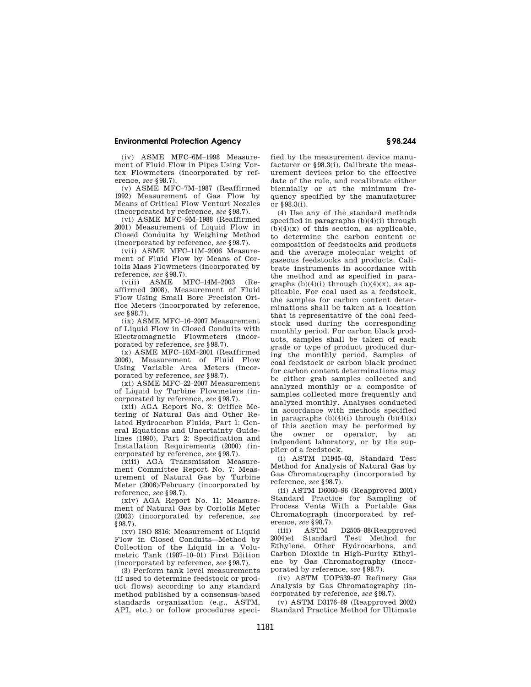# **Environmental Protection Agency § 98.244**

(iv) ASME MFC–6M–1998 Measurement of Fluid Flow in Pipes Using Vortex Flowmeters (incorporated by reference, *see* §98.7).

(v) ASME MFC–7M–1987 (Reaffirmed 1992) Measurement of Gas Flow by Means of Critical Flow Venturi Nozzles (incorporated by reference, *see* §98.7).

(vi) ASME MFC–9M–1988 (Reaffirmed 2001) Measurement of Liquid Flow in Closed Conduits by Weighing Method (incorporated by reference, *see* §98.7).

(vii) ASME MFC–11M–2006 Measurement of Fluid Flow by Means of Coriolis Mass Flowmeters (incorporated by reference, *see* §98.7).

(viii) ASME MFC–14M–2003 (Reaffirmed 2008), Measurement of Fluid Flow Using Small Bore Precision Orifice Meters (incorporated by reference, *see* §98.7).

(ix) ASME MFC–16–2007 Measurement of Liquid Flow in Closed Conduits with Electromagnetic Flowmeters (incorporated by reference, *see* §98.7).

(x) ASME MFC–18M–2001 (Reaffirmed 2006), Measurement of Fluid Flow Using Variable Area Meters (incorporated by reference, *see* §98.7).

(xi) ASME MFC–22–2007 Measurement of Liquid by Turbine Flowmeters (incorporated by reference, *see* §98.7).

(xii) AGA Report No. 3: Orifice Metering of Natural Gas and Other Related Hydrocarbon Fluids, Part 1: General Equations and Uncertainty Guidelines (1990), Part 2: Specification and Installation Requirements (2000) (incorporated by reference, *see* §98.7).

(xiii) AGA Transmission Measurement Committee Report No. 7: Measurement of Natural Gas by Turbine Meter (2006)/February (incorporated by reference, *see* §98.7).

(xiv) AGA Report No. 11: Measurement of Natural Gas by Coriolis Meter (2003) (incorporated by reference, *see*  §98.7).

(xv) ISO 8316: Measurement of Liquid Flow in Closed Conduits—Method by Collection of the Liquid in a Volumetric Tank (1987–10–01) First Edition (incorporated by reference, *see* §98.7).

(3) Perform tank level measurements (if used to determine feedstock or product flows) according to any standard method published by a consensus-based standards organization (e.g., ASTM, API, etc.) or follow procedures specified by the measurement device manufacturer or §98.3(i). Calibrate the measurement devices prior to the effective date of the rule, and recalibrate either biennially or at the minimum frequency specified by the manufacturer or §98.3(i).

(4) Use any of the standard methods specified in paragraphs (b)(4)(i) through  $(b)(4)(x)$  of this section, as applicable, to determine the carbon content or composition of feedstocks and products and the average molecular weight of gaseous feedstocks and products. Calibrate instruments in accordance with the method and as specified in paragraphs  $(b)(4)(i)$  through  $(b)(4)(x)$ , as applicable. For coal used as a feedstock, the samples for carbon content determinations shall be taken at a location that is representative of the coal feedstock used during the corresponding monthly period. For carbon black products, samples shall be taken of each grade or type of product produced during the monthly period. Samples of coal feedstock or carbon black product for carbon content determinations may be either grab samples collected and analyzed monthly or a composite of samples collected more frequently and analyzed monthly. Analyses conducted in accordance with methods specified in paragraphs  $(b)(4)(i)$  through  $(b)(4)(x)$ of this section may be performed by the owner or operator, by an indpendent laboratory, or by the supplier of a feedstock.

(i) ASTM D1945–03, Standard Test Method for Analysis of Natural Gas by Gas Chromatography (incorporated by reference, *see* §98.7).

(ii) ASTM D6060–96 (Reapproved 2001) Standard Practice for Sampling of Process Vents With a Portable Gas Chromatograph (incorporated by reference, *see* §98.7).

(iii) ASTM D2505–88(Reapproved Standard Test Method for Ethylene, Other Hydrocarbons, and Carbon Dioxide in High-Purity Ethylene by Gas Chromatography (incorporated by reference, *see* §98.7).

(iv) ASTM UOP539–97 Refinery Gas Analysis by Gas Chromatography (incorporated by reference, *see* §98.7).

(v) ASTM D3176–89 (Reapproved 2002) Standard Practice Method for Ultimate